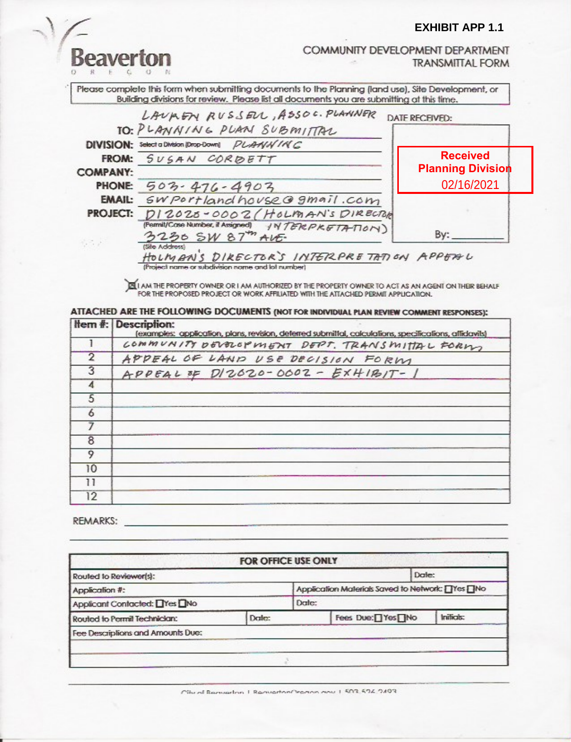#### **EXHIBIT APP 1.1**

Reaverton

COMMUNITY DEVELOPMENT DEPARTMENT **TRANSMITTAL FORM** 

Please complete this form when submitting documents to the Planning (land use), Site Development, or Building divisions for review. Please list all documents you are submitting at this time.



(Project name or subdivision name and lot number)

AM THE PROPERTY OWNER OR I AM AUTHORIZED BY THE PROPERTY OWNER TO ACT AS AN AGENT ON THEIR BEHALF FOR THE PROPOSED PROJECT OR WORK AFFILIATED WITH THE ATTACHED PERMIT APPUCATION.

ATTACHED ARE THE FOLLOWING DOCUMENTS (NOT FOR INDIVIDUAL PLAN REVIEW COMMENT RESPONSES);

|                | <b>Hem #: Description:</b><br>(examples: application, plans, revision, deferred submittal, calculations, specifications, affidavits) |
|----------------|--------------------------------------------------------------------------------------------------------------------------------------|
|                | COMMUNITY DEVOLOPMENT DEPT. TRANSMITTAL FORMS                                                                                        |
| $\overline{2}$ | APPEAL OF LAND USE DECISION FORM                                                                                                     |
| 3              | $APPEAL$ OF $D/2620 - 0002 - EXHIB/T - 1$                                                                                            |
| 4              |                                                                                                                                      |
| 5              |                                                                                                                                      |
| 6              |                                                                                                                                      |
|                |                                                                                                                                      |
| 8              |                                                                                                                                      |
|                |                                                                                                                                      |
| 10             |                                                                                                                                      |
| 11             |                                                                                                                                      |
| 12             |                                                                                                                                      |

REMARKS:

|                                       |                                                  | FOR OFFICE USE ONLY |                   |           |
|---------------------------------------|--------------------------------------------------|---------------------|-------------------|-----------|
| Routed to Reviewer(s):                |                                                  |                     | Date:             |           |
| Application #:                        | Application Materials Saved to Network: TYes TNo |                     |                   |           |
| Applicant Contacted: TYes TNo         |                                                  | Date:               |                   |           |
| Date:<br>Routed to Permit Technician: |                                                  |                     | Fees Due:□ Yes□No | Initials: |
| Fee Descriptions and Amounts Duc:     |                                                  |                     |                   |           |

City of Remember 1 Remember Cronon and 1 503 526 2103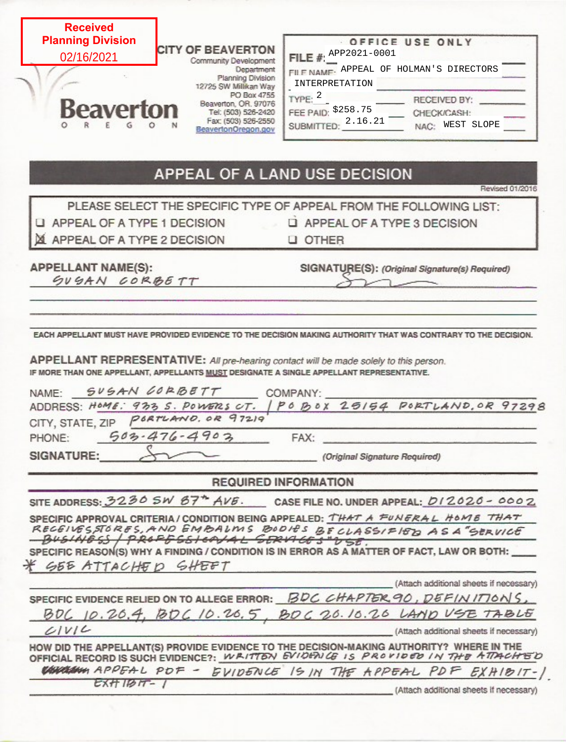| <b>Received</b><br><b>Planning Division</b><br><b>CITY OF BEAVERTON</b><br>02/16/2021<br>Community Development<br>Department<br>Planning Division<br>12725 SW Millikan Way<br>PO Box 4755<br>Beaverton, OR. 97076<br>Beaverton<br>Tel: (503) 526-2420<br>Fax: (503) 526-2550<br>BeavertonOregon.gov                                             | OFFICE USE ONLY<br>FILE #: $APP2021-0001$<br>FILE NAME. APPEAL OF HOLMAN'S DIRECTORS<br>INTERPRETATION<br>TYPE: 2<br>RECEIVED BY:<br>FEE PAID: \$258.75<br>CHECK/CASH:<br><b>SUBMITTED:</b> 2.16.21<br>NAC: WEST SLOPE |
|-------------------------------------------------------------------------------------------------------------------------------------------------------------------------------------------------------------------------------------------------------------------------------------------------------------------------------------------------|------------------------------------------------------------------------------------------------------------------------------------------------------------------------------------------------------------------------|
|                                                                                                                                                                                                                                                                                                                                                 | APPEAL OF A LAND USE DECISION<br>Revised 01/2016                                                                                                                                                                       |
|                                                                                                                                                                                                                                                                                                                                                 | PLEASE SELECT THE SPECIFIC TYPE OF APPEAL FROM THE FOLLOWING LIST:                                                                                                                                                     |
| LI APPEAL OF A TYPE 1 DECISION                                                                                                                                                                                                                                                                                                                  | LI APPEAL OF A TYPE 3 DECISION                                                                                                                                                                                         |
| APPEAL OF A TYPE 2 DECISION                                                                                                                                                                                                                                                                                                                     | <b>U OTHER</b>                                                                                                                                                                                                         |
| <b>APPELLANT NAME(S):</b><br>GUGAN CORBETT                                                                                                                                                                                                                                                                                                      | SIGNATURE(S): (Original Signature(s) Required)                                                                                                                                                                         |
|                                                                                                                                                                                                                                                                                                                                                 |                                                                                                                                                                                                                        |
| SUSAN GORBETT<br>PORTLAND, OR 97219<br>$503 - 476 - 4903$                                                                                                                                                                                                                                                                                       | COMPANY:<br>ADDRESS: HOME: 933 S. POWERS CT.   PO BOX 25154 PORTLAND, OR 97298<br>FAX:                                                                                                                                 |
|                                                                                                                                                                                                                                                                                                                                                 | (Original Signature Required)                                                                                                                                                                                          |
|                                                                                                                                                                                                                                                                                                                                                 | <b>REQUIRED INFORMATION</b>                                                                                                                                                                                            |
|                                                                                                                                                                                                                                                                                                                                                 | SITE ADDRESS: 3230 SW 67 <sup>*</sup> AVE. CASE FILE NO. UNDER APPEAL: 012020 - 0002                                                                                                                                   |
| BUSINESS / PROFFESIONAL GERVICES"USE.<br>GEE ATTACHED GHEFT                                                                                                                                                                                                                                                                                     | SPECIFIC APPROVAL CRITERIA/CONDITION BEING APPEALED: THAT A FUNERAL HOME THAT<br>RECEIVESSTORES, AND EMBALMS BODIES BECLASSIFIED AS A "SERVICE                                                                         |
|                                                                                                                                                                                                                                                                                                                                                 | (Attach additional sheets if necessary)                                                                                                                                                                                |
|                                                                                                                                                                                                                                                                                                                                                 | SPECIFIC EVIDENCE RELIED ON TO ALLEGE ERROR: BDC CHAPTER 90, DEFINITIONS,                                                                                                                                              |
|                                                                                                                                                                                                                                                                                                                                                 | BOC 10.20.4, BOC 10.20.5, BOC 20.10.20 LAND USE TABLE                                                                                                                                                                  |
| APPELLANT REPRESENTATIVE: All pre-hearing contact will be made solely to this person.<br>IF MORE THAN ONE APPELLANT, APPELLANTS MUST DESIGNATE A SINGLE APPELLANT REPRESENTATIVE.<br>NAME:<br>CITY, STATE, ZIP<br>PHONE:<br>SIGNATURE:<br>SPECIFIC REASON(S) WHY A FINDING / CONDITION IS IN ERROR AS A MATTER OF FACT, LAW OR BOTH: _<br>CIVIC | (Attach additional sheets if necessary)                                                                                                                                                                                |
| HOW DID THE APPELLANT(S) PROVIDE EVIDENCE TO THE DECISION-MAKING AUTHORITY? WHERE IN THE<br>OFFICIAL RECORD IS SUCH EVIDENCE?: WRITTEN EVIDENICE IS PROVIDED IN THE ATTACHED                                                                                                                                                                    |                                                                                                                                                                                                                        |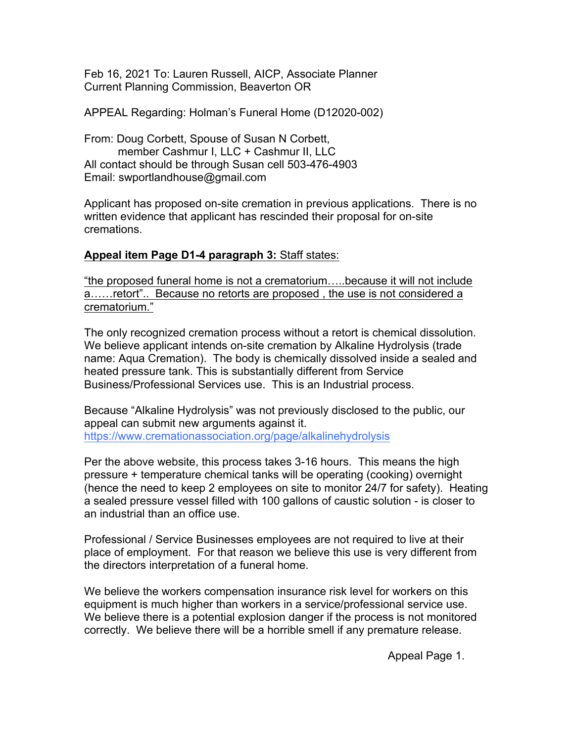Feb 16, 2021 To: Lauren Russell, AICP, Associate Planner Current Planning Commission, Beaverton OR

APPEAL Regarding: Holman's Funeral Home (D12020-002)

From: Doug Corbett, Spouse of Susan N Corbett, member Cashmur I, LLC + Cashmur II, LLC All contact should be through Susan cell 503-476-4903 Email: swportlandhouse@gmail.com

Applicant has proposed on-site cremation in previous applications. There is no written evidence that applicant has rescinded their proposal for on-site cremations.

### **Appeal item Page D1-4 paragraph 3:** Staff states:

"the proposed funeral home is not a crematorium…..because it will not include a……retort".. Because no retorts are proposed , the use is not considered a crematorium."

The only recognized cremation process without a retort is chemical dissolution. We believe applicant intends on-site cremation by Alkaline Hydrolysis (trade name: Aqua Cremation). The body is chemically dissolved inside a sealed and heated pressure tank. This is substantially different from Service Business/Professional Services use. This is an Industrial process.

Because "Alkaline Hydrolysis" was not previously disclosed to the public, our appeal can submit new arguments against it. https://www.cremationassociation.org/page/alkalinehydrolysis

Per the above website, this process takes 3-16 hours. This means the high pressure + temperature chemical tanks will be operating (cooking) overnight (hence the need to keep 2 employees on site to monitor 24/7 for safety). Heating a sealed pressure vessel filled with 100 gallons of caustic solution - is closer to an industrial than an office use.

Professional / Service Businesses employees are not required to live at their place of employment. For that reason we believe this use is very different from the directors interpretation of a funeral home.

We believe the workers compensation insurance risk level for workers on this equipment is much higher than workers in a service/professional service use. We believe there is a potential explosion danger if the process is not monitored correctly. We believe there will be a horrible smell if any premature release.

Appeal Page 1.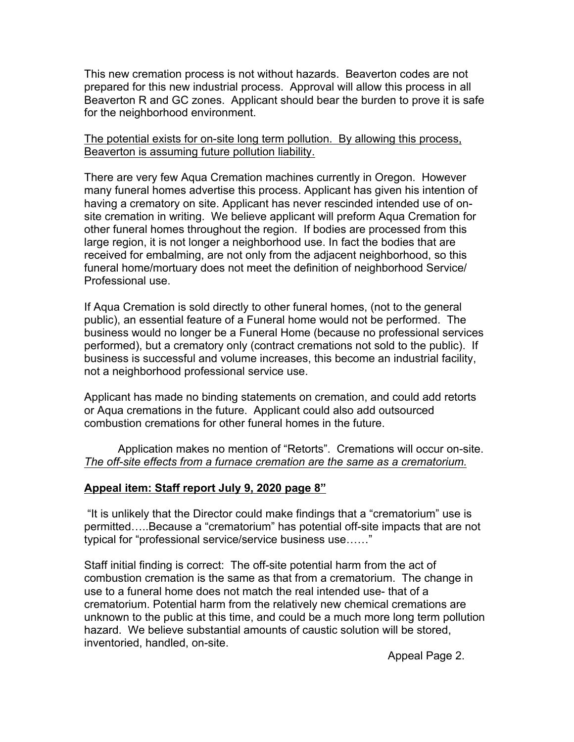This new cremation process is not without hazards. Beaverton codes are not prepared for this new industrial process. Approval will allow this process in all Beaverton R and GC zones. Applicant should bear the burden to prove it is safe for the neighborhood environment.

#### The potential exists for on-site long term pollution. By allowing this process, Beaverton is assuming future pollution liability.

There are very few Aqua Cremation machines currently in Oregon. However many funeral homes advertise this process. Applicant has given his intention of having a crematory on site. Applicant has never rescinded intended use of onsite cremation in writing. We believe applicant will preform Aqua Cremation for other funeral homes throughout the region. If bodies are processed from this large region, it is not longer a neighborhood use. In fact the bodies that are received for embalming, are not only from the adjacent neighborhood, so this funeral home/mortuary does not meet the definition of neighborhood Service/ Professional use.

If Aqua Cremation is sold directly to other funeral homes, (not to the general public), an essential feature of a Funeral home would not be performed. The business would no longer be a Funeral Home (because no professional services performed), but a crematory only (contract cremations not sold to the public). If business is successful and volume increases, this become an industrial facility, not a neighborhood professional service use.

Applicant has made no binding statements on cremation, and could add retorts or Aqua cremations in the future. Applicant could also add outsourced combustion cremations for other funeral homes in the future.

Application makes no mention of "Retorts". Cremations will occur on-site. *The off-site effects from a furnace cremation are the same as a crematorium.*

### **Appeal item: Staff report July 9, 2020 page 8"**

"It is unlikely that the Director could make findings that a "crematorium" use is permitted…..Because a "crematorium" has potential off-site impacts that are not typical for "professional service/service business use……"

Staff initial finding is correct: The off-site potential harm from the act of combustion cremation is the same as that from a crematorium. The change in use to a funeral home does not match the real intended use- that of a crematorium. Potential harm from the relatively new chemical cremations are unknown to the public at this time, and could be a much more long term pollution hazard. We believe substantial amounts of caustic solution will be stored, inventoried, handled, on-site.

Appeal Page 2.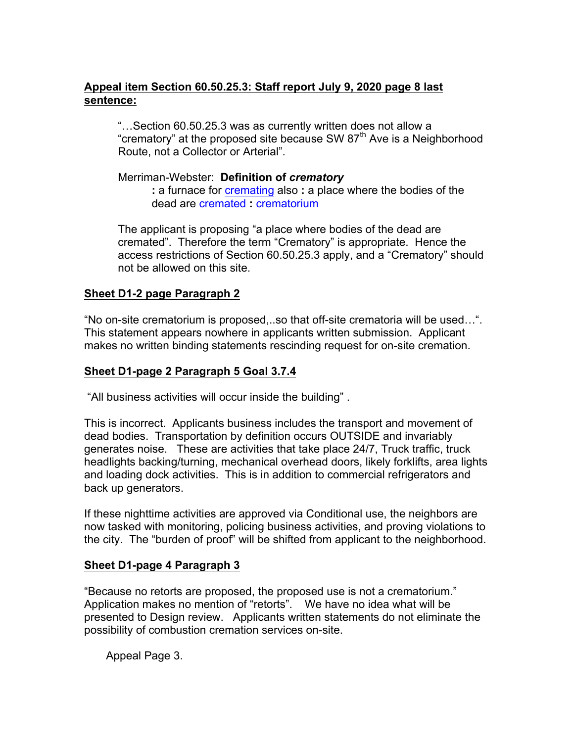# **Appeal item Section 60.50.25.3: Staff report July 9, 2020 page 8 last sentence:**

"…Section 60.50.25.3 was as currently written does not allow a "crematory" at the proposed site because SW  $87<sup>th</sup>$  Ave is a Neighborhood Route, not a Collector or Arterial".

#### Merriman-Webster: **Definition of** *crematory*

**:** a furnace for cremating also **:** a place where the bodies of the dead are cremated **:** crematorium

The applicant is proposing "a place where bodies of the dead are cremated". Therefore the term "Crematory" is appropriate. Hence the access restrictions of Section 60.50.25.3 apply, and a "Crematory" should not be allowed on this site.

### **Sheet D1-2 page Paragraph 2**

"No on-site crematorium is proposed,..so that off-site crematoria will be used…". This statement appears nowhere in applicants written submission. Applicant makes no written binding statements rescinding request for on-site cremation.

### **Sheet D1-page 2 Paragraph 5 Goal 3.7.4**

"All business activities will occur inside the building" .

This is incorrect. Applicants business includes the transport and movement of dead bodies. Transportation by definition occurs OUTSIDE and invariably generates noise. These are activities that take place 24/7, Truck traffic, truck headlights backing/turning, mechanical overhead doors, likely forklifts, area lights and loading dock activities. This is in addition to commercial refrigerators and back up generators.

If these nighttime activities are approved via Conditional use, the neighbors are now tasked with monitoring, policing business activities, and proving violations to the city. The "burden of proof" will be shifted from applicant to the neighborhood.

### **Sheet D1-page 4 Paragraph 3**

"Because no retorts are proposed, the proposed use is not a crematorium." Application makes no mention of "retorts". We have no idea what will be presented to Design review. Applicants written statements do not eliminate the possibility of combustion cremation services on-site.

Appeal Page 3.